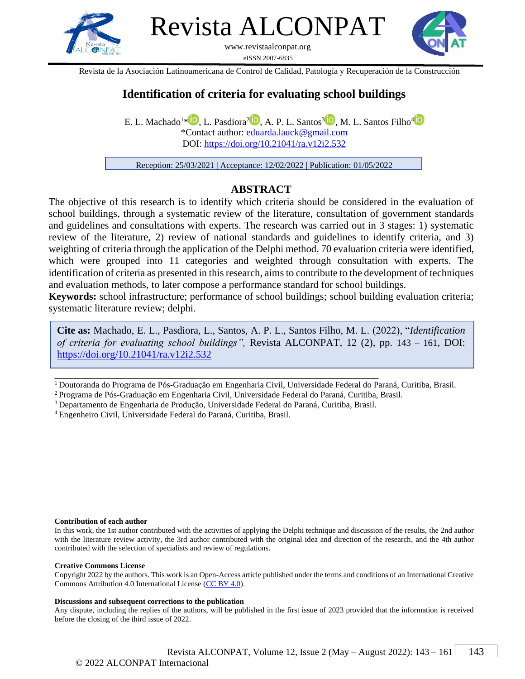

Revista ALCONPAT

www.revistaalconpat.org eISSN 2007-6835



Revista de la Asociación Latinoamericana de Control de Calidad, Patología y Recuperación de la Construcción

## **Identification of criteria for evaluating school buildings**

E. L. Machado<sup>1\*</sup> <sup>D</sup>, L. Pasdiora<sup>2</sup> D, A. P. L. Santos<sup>3</sup> D, M. L. Santos Filho<sup>4</sup> \*Contact author: [eduarda.lauck@gmail.com](mailto:eduarda.lauck@gmail.com) DOI:<https://doi.org/10.21041/ra.v12i2.532>

Reception: 25/03/2021 | Acceptance: 12/02/2022 | Publication: 01/05/2022

### **ABSTRACT**

The objective of this research is to identify which criteria should be considered in the evaluation of school buildings, through a systematic review of the literature, consultation of government standards and guidelines and consultations with experts. The research was carried out in 3 stages: 1) systematic review of the literature, 2) review of national standards and guidelines to identify criteria, and 3) weighting of criteria through the application of the Delphi method. 70 evaluation criteria were identified, which were grouped into 11 categories and weighted through consultation with experts. The identification of criteria as presented in this research, aims to contribute to the development of techniques and evaluation methods, to later compose a performance standard for school buildings.

**Keywords:** school infrastructure; performance of school buildings; school building evaluation criteria; systematic literature review; delphi.

**Cite as:** Machado, E. L., Pasdiora, L., Santos, A. P. L., Santos Filho, M. L. (2022), "*Identification of criteria for evaluating school buildings",* Revista ALCONPAT, 12 (2), pp. 143 – 161, DOI: https://doi.org/10.21041/ra.v12i2.532

<sup>1</sup>Doutoranda do Programa de Pós-Graduação em Engenharia Civil, Universidade Federal do Paraná, Curitiba, Brasil.

<sup>2</sup>Programa de Pós-Graduação em Engenharia Civil, Universidade Federal do Paraná, Curitiba, Brasil.

<sup>3</sup>Departamento de Engenharia de Produção, Universidade Federal do Paraná, Curitiba, Brasil.

\_\_\_\_\_\_\_\_\_\_\_\_\_\_\_\_\_\_\_\_\_\_\_\_\_\_\_\_\_\_\_\_\_\_\_\_\_\_\_\_\_\_\_\_\_\_\_\_\_\_\_\_\_\_\_\_\_\_\_\_\_\_\_

<sup>4</sup>Engenheiro Civil, Universidade Federal do Paraná, Curitiba, Brasil.

#### **Contribution of each author**

In this work, the 1st author contributed with the activities of applying the Delphi technique and discussion of the results, the 2nd author with the literature review activity, the 3rd author contributed with the original idea and direction of the research, and the 4th author contributed with the selection of specialists and review of regulations.

#### **Creative Commons License**

Copyright 2022 by the authors. This work is an Open-Access article published under the terms and conditions of an International Creative Commons Attribution 4.0 International License [\(CC BY 4.0\)](https://creativecommons.org/licenses/by-nc-nd/4.0/deed.es).

#### **Discussions and subsequent corrections to the publication**

Any dispute, including the replies of the authors, will be published in the first issue of 2023 provided that the information is received before the closing of the third issue of 2022.

Revista ALCONPAT, Volume 12, Issue 2 (May – August 2022):  $143 - 161$  | 143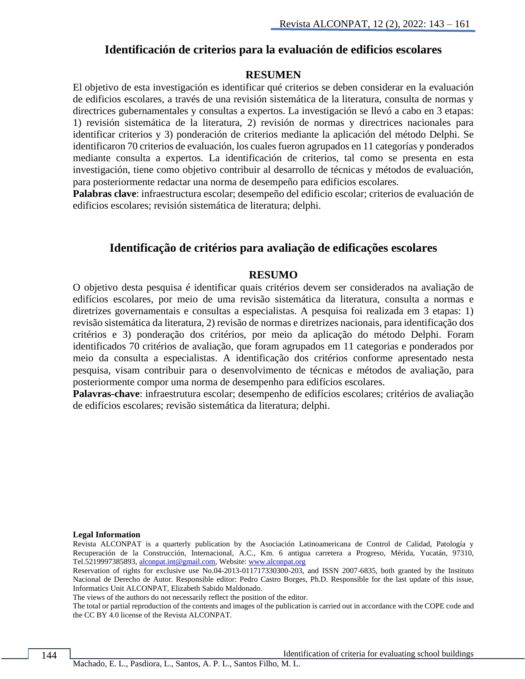#### **Identificación de criterios para la evaluación de edificios escolares**

#### **RESUMEN**

El objetivo de esta investigación es identificar qué criterios se deben considerar en la evaluación de edificios escolares, a través de una revisión sistemática de la literatura, consulta de normas y directrices gubernamentales y consultas a expertos. La investigación se llevó a cabo en 3 etapas: 1) revisión sistemática de la literatura, 2) revisión de normas y directrices nacionales para identificar criterios y 3) ponderación de criterios mediante la aplicación del método Delphi. Se identificaron 70 criterios de evaluación, los cuales fueron agrupados en 11 categorías y ponderados mediante consulta a expertos. La identificación de criterios, tal como se presenta en esta investigación, tiene como objetivo contribuir al desarrollo de técnicas y métodos de evaluación, para posteriormente redactar una norma de desempeño para edificios escolares.

**Palabras clave**: infraestructura escolar; desempeño del edificio escolar; criterios de evaluación de edificios escolares; revisión sistemática de literatura; delphi.

#### **Identificação de critérios para avaliação de edificações escolares**

#### **RESUMO**

O objetivo desta pesquisa é identificar quais critérios devem ser considerados na avaliação de edifícios escolares, por meio de uma revisão sistemática da literatura, consulta a normas e diretrizes governamentais e consultas a especialistas. A pesquisa foi realizada em 3 etapas: 1) revisão sistemática da literatura, 2) revisão de normas e diretrizes nacionais, para identificação dos critérios e 3) ponderação dos critérios, por meio da aplicação do método Delphi. Foram identificados 70 critérios de avaliação, que foram agrupados em 11 categorias e ponderados por meio da consulta a especialistas. A identificação dos critérios conforme apresentado nesta pesquisa, visam contribuir para o desenvolvimento de técnicas e métodos de avaliação, para posteriormente compor uma norma de desempenho para edifícios escolares.

**Palavras-chave**: infraestrutura escolar; desempenho de edifícios escolares; critérios de avaliação de edifícios escolares; revisão sistemática da literatura; delphi.

#### **Legal Information**

Revista ALCONPAT is a quarterly publication by the Asociación Latinoamericana de Control de Calidad, Patología y Recuperación de la Construcción, Internacional, A.C., Km. 6 antigua carretera a Progreso, Mérida, Yucatán, 97310, Tel.5219997385893[, alconpat.int@gmail.com,](mailto:alconpat.int@gmail.com) Website: [www.alconpat.org](http://www.alconpat.org/)

Reservation of rights for exclusive use No.04-2013-011717330300-203, and ISSN 2007-6835, both granted by the Instituto Nacional de Derecho de Autor. Responsible editor: Pedro Castro Borges, Ph.D. Responsible for the last update of this issue, Informatics Unit ALCONPAT, Elizabeth Sabido Maldonado.

The views of the authors do not necessarily reflect the position of the editor.

The total or partial reproduction of the contents and images of the publication is carried out in accordance with the COPE code and the CC BY 4.0 license of the Revista ALCONPAT.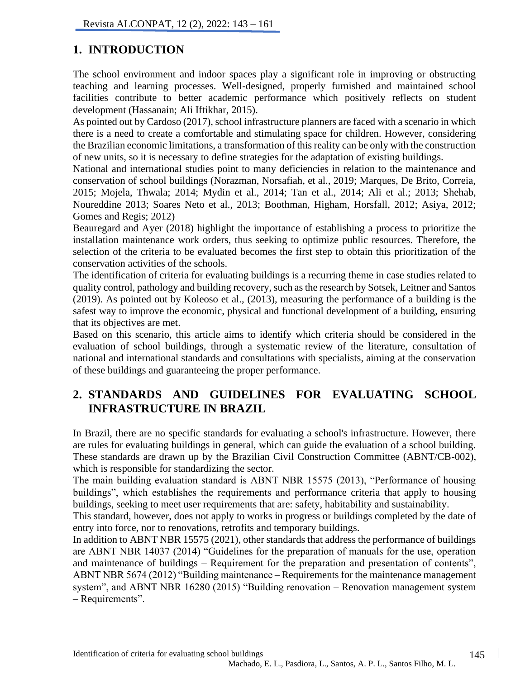# **1. INTRODUCTION**

The school environment and indoor spaces play a significant role in improving or obstructing teaching and learning processes. Well-designed, properly furnished and maintained school facilities contribute to better academic performance which positively reflects on student development (Hassanain; Ali Iftikhar, 2015).

As pointed out by Cardoso (2017), school infrastructure planners are faced with a scenario in which there is a need to create a comfortable and stimulating space for children. However, considering the Brazilian economic limitations, a transformation of this reality can be only with the construction of new units, so it is necessary to define strategies for the adaptation of existing buildings.

National and international studies point to many deficiencies in relation to the maintenance and conservation of school buildings (Norazman, Norsafiah, et al., 2019; Marques, De Brito, Correia, 2015; Mojela, Thwala; 2014; Mydin et al., 2014; Tan et al., 2014; Ali et al.; 2013; Shehab, Noureddine 2013; Soares Neto et al., 2013; Boothman, Higham, Horsfall, 2012; Asiya, 2012; Gomes and Regis; 2012)

Beauregard and Ayer (2018) highlight the importance of establishing a process to prioritize the installation maintenance work orders, thus seeking to optimize public resources. Therefore, the selection of the criteria to be evaluated becomes the first step to obtain this prioritization of the conservation activities of the schools.

The identification of criteria for evaluating buildings is a recurring theme in case studies related to quality control, pathology and building recovery, such as the research by Sotsek, Leitner and Santos (2019). As pointed out by Koleoso et al., (2013), measuring the performance of a building is the safest way to improve the economic, physical and functional development of a building, ensuring that its objectives are met.

Based on this scenario, this article aims to identify which criteria should be considered in the evaluation of school buildings, through a systematic review of the literature, consultation of national and international standards and consultations with specialists, aiming at the conservation of these buildings and guaranteeing the proper performance.

# **2. STANDARDS AND GUIDELINES FOR EVALUATING SCHOOL INFRASTRUCTURE IN BRAZIL**

In Brazil, there are no specific standards for evaluating a school's infrastructure. However, there are rules for evaluating buildings in general, which can guide the evaluation of a school building. These standards are drawn up by the Brazilian Civil Construction Committee (ABNT/CB-002), which is responsible for standardizing the sector.

The main building evaluation standard is ABNT NBR 15575 (2013), "Performance of housing buildings", which establishes the requirements and performance criteria that apply to housing buildings, seeking to meet user requirements that are: safety, habitability and sustainability.

This standard, however, does not apply to works in progress or buildings completed by the date of entry into force, nor to renovations, retrofits and temporary buildings.

In addition to ABNT NBR 15575 (2021), other standards that address the performance of buildings are ABNT NBR 14037 (2014) "Guidelines for the preparation of manuals for the use, operation and maintenance of buildings – Requirement for the preparation and presentation of contents", ABNT NBR 5674 (2012) "Building maintenance – Requirements for the maintenance management system", and ABNT NBR 16280 (2015) "Building renovation – Renovation management system – Requirements".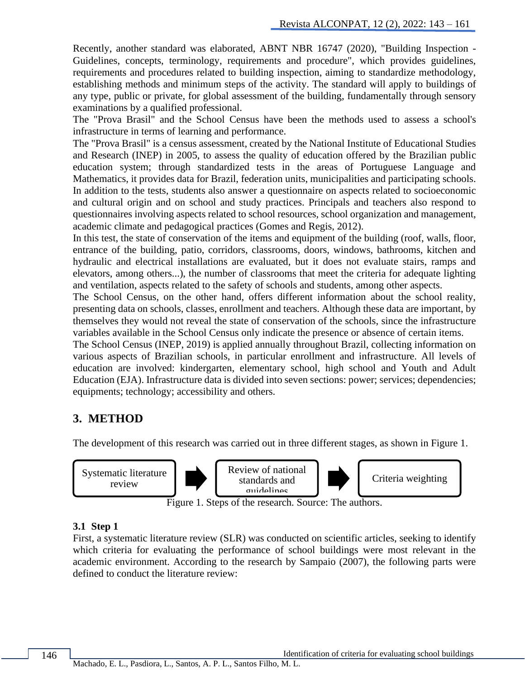Recently, another standard was elaborated, ABNT NBR 16747 (2020), "Building Inspection - Guidelines, concepts, terminology, requirements and procedure", which provides guidelines, requirements and procedures related to building inspection, aiming to standardize methodology, establishing methods and minimum steps of the activity. The standard will apply to buildings of any type, public or private, for global assessment of the building, fundamentally through sensory examinations by a qualified professional.

The "Prova Brasil" and the School Census have been the methods used to assess a school's infrastructure in terms of learning and performance.

The "Prova Brasil" is a census assessment, created by the National Institute of Educational Studies and Research (INEP) in 2005, to assess the quality of education offered by the Brazilian public education system; through standardized tests in the areas of Portuguese Language and Mathematics, it provides data for Brazil, federation units, municipalities and participating schools. In addition to the tests, students also answer a questionnaire on aspects related to socioeconomic and cultural origin and on school and study practices. Principals and teachers also respond to questionnaires involving aspects related to school resources, school organization and management, academic climate and pedagogical practices (Gomes and Regis, 2012).

In this test, the state of conservation of the items and equipment of the building (roof, walls, floor, entrance of the building, patio, corridors, classrooms, doors, windows, bathrooms, kitchen and hydraulic and electrical installations are evaluated, but it does not evaluate stairs, ramps and elevators, among others...), the number of classrooms that meet the criteria for adequate lighting and ventilation, aspects related to the safety of schools and students, among other aspects.

The School Census, on the other hand, offers different information about the school reality, presenting data on schools, classes, enrollment and teachers. Although these data are important, by themselves they would not reveal the state of conservation of the schools, since the infrastructure variables available in the School Census only indicate the presence or absence of certain items.

The School Census (INEP, 2019) is applied annually throughout Brazil, collecting information on various aspects of Brazilian schools, in particular enrollment and infrastructure. All levels of education are involved: kindergarten, elementary school, high school and Youth and Adult Education (EJA). Infrastructure data is divided into seven sections: power; services; dependencies; equipments; technology; accessibility and others.

## **3. METHOD**

The development of this research was carried out in three different stages, as shown in Figure 1.



Figure 1. Steps of the research. Source: The authors.

### **3.1 Step 1**

First, a systematic literature review (SLR) was conducted on scientific articles, seeking to identify which criteria for evaluating the performance of school buildings were most relevant in the academic environment. According to the research by Sampaio (2007), the following parts were defined to conduct the literature review: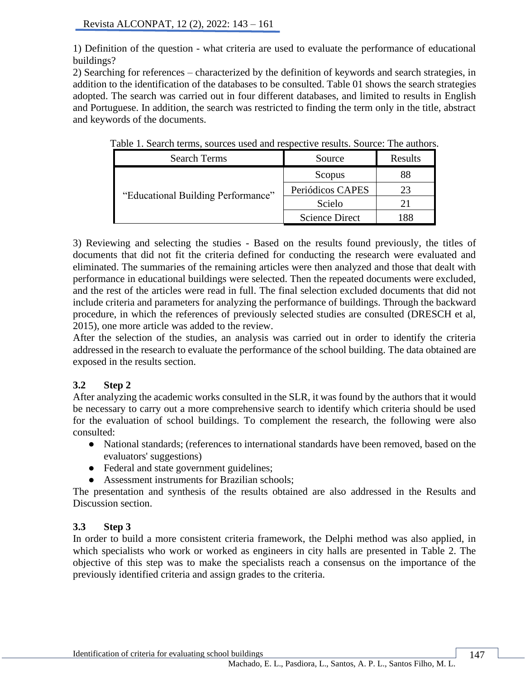1) Definition of the question - what criteria are used to evaluate the performance of educational buildings?

2) Searching for references – characterized by the definition of keywords and search strategies, in addition to the identification of the databases to be consulted. Table 01 shows the search strategies adopted. The search was carried out in four different databases, and limited to results in English and Portuguese. In addition, the search was restricted to finding the term only in the title, abstract and keywords of the documents.

| <b>Search Terms</b>                | Source                | Results |
|------------------------------------|-----------------------|---------|
|                                    | Scopus                | 88      |
| "Educational Building Performance" | Periódicos CAPES      | 23      |
|                                    | Scielo                |         |
|                                    | <b>Science Direct</b> |         |

Table 1. Search terms, sources used and respective results. Source: The authors.

3) Reviewing and selecting the studies - Based on the results found previously, the titles of documents that did not fit the criteria defined for conducting the research were evaluated and eliminated. The summaries of the remaining articles were then analyzed and those that dealt with performance in educational buildings were selected. Then the repeated documents were excluded, and the rest of the articles were read in full. The final selection excluded documents that did not include criteria and parameters for analyzing the performance of buildings. Through the backward procedure, in which the references of previously selected studies are consulted (DRESCH et al, 2015), one more article was added to the review.

After the selection of the studies, an analysis was carried out in order to identify the criteria addressed in the research to evaluate the performance of the school building. The data obtained are exposed in the results section.

## **3.2 Step 2**

After analyzing the academic works consulted in the SLR, it was found by the authors that it would be necessary to carry out a more comprehensive search to identify which criteria should be used for the evaluation of school buildings. To complement the research, the following were also consulted:

- National standards; (references to international standards have been removed, based on the evaluators' suggestions)
- Federal and state government guidelines;
- Assessment instruments for Brazilian schools;

The presentation and synthesis of the results obtained are also addressed in the Results and Discussion section.

## **3.3 Step 3**

In order to build a more consistent criteria framework, the Delphi method was also applied, in which specialists who work or worked as engineers in city halls are presented in Table 2. The objective of this step was to make the specialists reach a consensus on the importance of the previously identified criteria and assign grades to the criteria.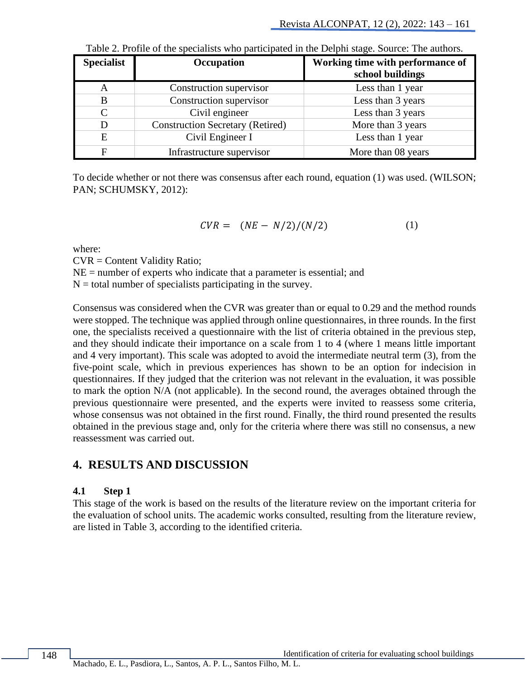| <b>Specialist</b> | Occupation                              | Working time with performance of<br>school buildings |
|-------------------|-----------------------------------------|------------------------------------------------------|
| A                 | Construction supervisor                 | Less than 1 year                                     |
| B                 | Construction supervisor                 | Less than 3 years                                    |
| $\mathsf{C}$      | Civil engineer                          | Less than 3 years                                    |
| D                 | <b>Construction Secretary (Retired)</b> | More than 3 years                                    |
| E                 | Civil Engineer I                        | Less than 1 year                                     |
|                   | Infrastructure supervisor               | More than 08 years                                   |

| Table 2. Profile of the specialists who participated in the Delphi stage. Source: The authors. |  |  |  |  |
|------------------------------------------------------------------------------------------------|--|--|--|--|
|------------------------------------------------------------------------------------------------|--|--|--|--|

To decide whether or not there was consensus after each round, equation (1) was used. (WILSON; PAN; SCHUMSKY, 2012):

$$
CVR = (NE - N/2)/(N/2) \tag{1}
$$

where:

CVR = Content Validity Ratio;

 $NE =$  number of experts who indicate that a parameter is essential; and

 $N =$  total number of specialists participating in the survey.

Consensus was considered when the CVR was greater than or equal to 0.29 and the method rounds were stopped. The technique was applied through online questionnaires, in three rounds. In the first one, the specialists received a questionnaire with the list of criteria obtained in the previous step, and they should indicate their importance on a scale from 1 to 4 (where 1 means little important and 4 very important). This scale was adopted to avoid the intermediate neutral term (3), from the five-point scale, which in previous experiences has shown to be an option for indecision in questionnaires. If they judged that the criterion was not relevant in the evaluation, it was possible to mark the option N/A (not applicable). In the second round, the averages obtained through the previous questionnaire were presented, and the experts were invited to reassess some criteria, whose consensus was not obtained in the first round. Finally, the third round presented the results obtained in the previous stage and, only for the criteria where there was still no consensus, a new reassessment was carried out.

## **4. RESULTS AND DISCUSSION**

### **4.1 Step 1**

This stage of the work is based on the results of the literature review on the important criteria for the evaluation of school units. The academic works consulted, resulting from the literature review, are listed in Table 3, according to the identified criteria.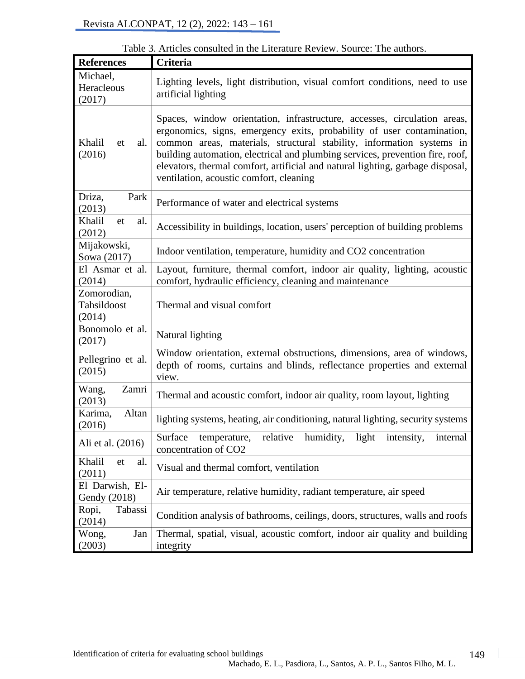| <b>References</b>                    | Criteria                                                                                                                                                                                                                                                                                                                                                                                                                                  |  |  |  |  |  |  |
|--------------------------------------|-------------------------------------------------------------------------------------------------------------------------------------------------------------------------------------------------------------------------------------------------------------------------------------------------------------------------------------------------------------------------------------------------------------------------------------------|--|--|--|--|--|--|
| Michael,<br>Heracleous<br>(2017)     | Lighting levels, light distribution, visual comfort conditions, need to use<br>artificial lighting                                                                                                                                                                                                                                                                                                                                        |  |  |  |  |  |  |
| Khalil<br>al.<br>et<br>(2016)        | Spaces, window orientation, infrastructure, accesses, circulation areas,<br>ergonomics, signs, emergency exits, probability of user contamination,<br>common areas, materials, structural stability, information systems in<br>building automation, electrical and plumbing services, prevention fire, roof,<br>elevators, thermal comfort, artificial and natural lighting, garbage disposal,<br>ventilation, acoustic comfort, cleaning |  |  |  |  |  |  |
| Driza,<br>Park<br>(2013)             | Performance of water and electrical systems                                                                                                                                                                                                                                                                                                                                                                                               |  |  |  |  |  |  |
| Khalil<br>al.<br>et<br>(2012)        | Accessibility in buildings, location, users' perception of building problems                                                                                                                                                                                                                                                                                                                                                              |  |  |  |  |  |  |
| Mijakowski,<br>Sowa (2017)           | Indoor ventilation, temperature, humidity and CO2 concentration                                                                                                                                                                                                                                                                                                                                                                           |  |  |  |  |  |  |
| El Asmar et al.<br>(2014)            | Layout, furniture, thermal comfort, indoor air quality, lighting, acoustic<br>comfort, hydraulic efficiency, cleaning and maintenance                                                                                                                                                                                                                                                                                                     |  |  |  |  |  |  |
| Zomorodian,<br>Tahsildoost<br>(2014) | Thermal and visual comfort                                                                                                                                                                                                                                                                                                                                                                                                                |  |  |  |  |  |  |
| Bonomolo et al.<br>(2017)            | Natural lighting                                                                                                                                                                                                                                                                                                                                                                                                                          |  |  |  |  |  |  |
| Pellegrino et al.<br>(2015)          | Window orientation, external obstructions, dimensions, area of windows,<br>depth of rooms, curtains and blinds, reflectance properties and external<br>view.                                                                                                                                                                                                                                                                              |  |  |  |  |  |  |
| Zamri<br>Wang,<br>(2013)             | Thermal and acoustic comfort, indoor air quality, room layout, lighting                                                                                                                                                                                                                                                                                                                                                                   |  |  |  |  |  |  |
| Altan<br>Karima,<br>(2016)           | lighting systems, heating, air conditioning, natural lighting, security systems                                                                                                                                                                                                                                                                                                                                                           |  |  |  |  |  |  |
| Ali et al. (2016)                    | relative humidity, light intensity,<br>internal<br>Surface temperature,<br>concentration of CO2                                                                                                                                                                                                                                                                                                                                           |  |  |  |  |  |  |
| Khalil<br>al.<br>et<br>(2011)        | Visual and thermal comfort, ventilation                                                                                                                                                                                                                                                                                                                                                                                                   |  |  |  |  |  |  |
| El Darwish, El-<br>Gendy (2018)      | Air temperature, relative humidity, radiant temperature, air speed                                                                                                                                                                                                                                                                                                                                                                        |  |  |  |  |  |  |
| Ropi,<br>Tabassi<br>(2014)           | Condition analysis of bathrooms, ceilings, doors, structures, walls and roofs                                                                                                                                                                                                                                                                                                                                                             |  |  |  |  |  |  |
| Jan<br>Wong,<br>(2003)               | Thermal, spatial, visual, acoustic comfort, indoor air quality and building<br>integrity                                                                                                                                                                                                                                                                                                                                                  |  |  |  |  |  |  |

Table 3. Articles consulted in the Literature Review. Source: The authors.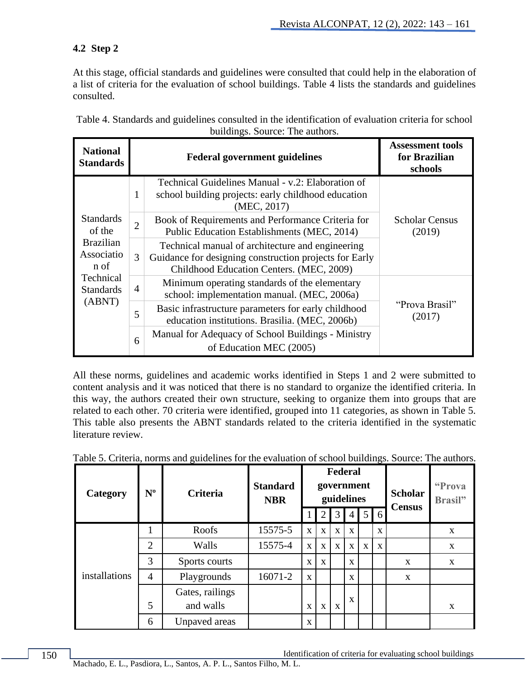## **4.2 Step 2**

At this stage, official standards and guidelines were consulted that could help in the elaboration of a list of criteria for the evaluation of school buildings. Table 4 lists the standards and guidelines consulted.

| <b>National</b><br><b>Standards</b>    |                | <b>Federal government guidelines</b>                                                                                                                   | <b>Assessment tools</b><br>for Brazilian<br>schools |
|----------------------------------------|----------------|--------------------------------------------------------------------------------------------------------------------------------------------------------|-----------------------------------------------------|
|                                        | $\mathbf{1}$   | Technical Guidelines Manual - v.2: Elaboration of<br>school building projects: early childhood education<br>(MEC, 2017)                                |                                                     |
| <b>Standards</b><br>of the             | $\overline{2}$ | Book of Requirements and Performance Criteria for<br>Public Education Establishments (MEC, 2014)                                                       | <b>Scholar Census</b><br>(2019)                     |
| <b>Brazilian</b><br>Associatio<br>n of | 3              | Technical manual of architecture and engineering<br>Guidance for designing construction projects for Early<br>Childhood Education Centers. (MEC, 2009) |                                                     |
| Technical<br><b>Standards</b>          | $\overline{4}$ | Minimum operating standards of the elementary<br>school: implementation manual. (MEC, 2006a)                                                           |                                                     |
| (ABNT)                                 | 5              | Basic infrastructure parameters for early childhood<br>education institutions. Brasilia. (MEC, 2006b)                                                  | "Prova Brasil"<br>(2017)                            |
|                                        | 6              | Manual for Adequacy of School Buildings - Ministry<br>of Education MEC (2005)                                                                          |                                                     |

Table 4. Standards and guidelines consulted in the identification of evaluation criteria for school buildings. Source: The authors.

All these norms, guidelines and academic works identified in Steps 1 and 2 were submitted to content analysis and it was noticed that there is no standard to organize the identified criteria. In this way, the authors created their own structure, seeking to organize them into groups that are related to each other. 70 criteria were identified, grouped into 11 categories, as shown in Table 5. This table also presents the ABNT standards related to the criteria identified in the systematic literature review.

| Category      | $N^{\rm o}$    | 07<br><b>Criteria</b> | <b>Standard</b><br><b>NBR</b> |              |   |              | Federal<br>government<br>guidelines |             |              | <b>Scholar</b><br><b>Census</b> | "Prova<br>Brasil" |
|---------------|----------------|-----------------------|-------------------------------|--------------|---|--------------|-------------------------------------|-------------|--------------|---------------------------------|-------------------|
|               |                |                       |                               |              | 2 | 3            | 4 <b>J</b>                          |             | $5 \mid 6$   |                                 |                   |
|               |                | Roofs                 | 15575-5                       | $\mathbf{X}$ | X | $\mathbf{X}$ | X                                   |             | $\mathbf{x}$ |                                 | X                 |
|               | $\overline{2}$ | Walls                 | 15575-4                       | $\mathbf{X}$ | X | $\mathbf X$  | $\mathbf{X}$                        | $\mathbf X$ | $\mathbf X$  |                                 | X                 |
|               | 3              | Sports courts         |                               | X            | X |              | X                                   |             |              | X                               | X                 |
| installations | $\overline{4}$ | Playgrounds           | 16071-2                       | $\mathbf{X}$ |   |              | X                                   |             |              | X                               |                   |
|               |                | Gates, railings       |                               |              |   |              |                                     |             |              |                                 |                   |
|               | 5              | and walls             |                               | X            | X | X            | X                                   |             |              |                                 | X                 |
|               | 6              | Unpaved areas         |                               | X            |   |              |                                     |             |              |                                 |                   |

Table 5. Criteria, norms and guidelines for the evaluation of school buildings. Source: The authors.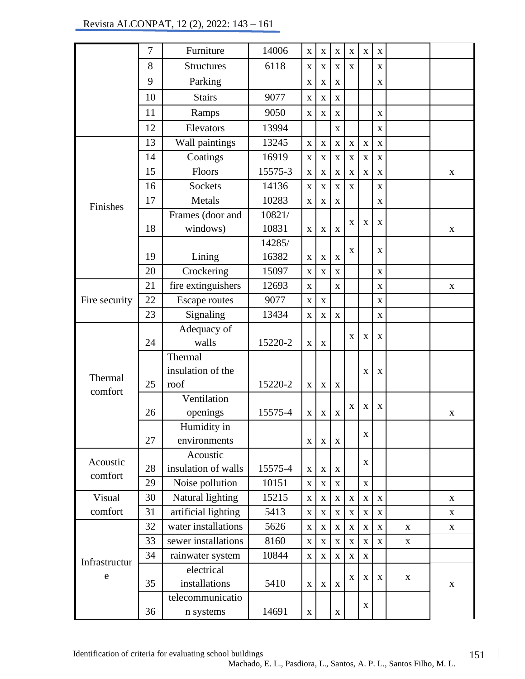|               | $\overline{7}$ | Furniture              | 14006   | $\mathbf X$  | $\mathbf X$ | $\mathbf X$             | $\mathbf X$             | $\mathbf X$             | X                       |              |             |
|---------------|----------------|------------------------|---------|--------------|-------------|-------------------------|-------------------------|-------------------------|-------------------------|--------------|-------------|
|               | 8              | <b>Structures</b>      | 6118    | $\mathbf X$  | $\mathbf X$ | $\mathbf X$             | $\mathbf X$             |                         | $\mathbf X$             |              |             |
|               | 9              | Parking                |         | $\mathbf X$  | $\mathbf X$ | $\mathbf X$             |                         |                         | $\mathbf X$             |              |             |
|               | 10             | <b>Stairs</b>          | 9077    | $\mathbf X$  | $\bf{X}$    | $\mathbf X$             |                         |                         |                         |              |             |
|               | 11             | Ramps                  | 9050    | $\mathbf X$  | $\mathbf X$ | $\mathbf X$             |                         |                         | $\mathbf X$             |              |             |
|               | 12             | Elevators              | 13994   |              |             | $\mathbf X$             |                         |                         | $\mathbf X$             |              |             |
|               | 13             | Wall paintings         | 13245   | $\mathbf X$  | $\mathbf X$ | $\overline{\mathbf{X}}$ | $\mathbf X$             | $\overline{\mathbf{X}}$ | $\mathbf X$             |              |             |
|               | 14             | Coatings               | 16919   | $\mathbf X$  | $\mathbf X$ | $\mathbf X$             | $\mathbf X$             | $\mathbf X$             | $\mathbf X$             |              |             |
|               | 15             | Floors                 | 15575-3 | $\mathbf X$  | $\mathbf X$ | $\mathbf X$             | $\mathbf X$             | $\mathbf X$             | $\mathbf X$             |              | X           |
|               | 16             | <b>Sockets</b>         | 14136   | $\mathbf X$  | $\mathbf X$ | $\overline{\mathbf{X}}$ | $\overline{\mathbf{X}}$ |                         | $\bar{\mathbf{X}}$      |              |             |
| Finishes      | 17             | Metals                 | 10283   | $\mathbf X$  | $\mathbf X$ | $\mathbf X$             |                         |                         | $\overline{\mathbf{X}}$ |              |             |
|               |                | Frames (door and       | 10821/  |              |             |                         |                         |                         |                         |              |             |
|               | 18             | windows)               | 10831   | $\mathbf X$  | X           | $\mathbf X$             | $\mathbf X$             | X                       | X                       |              | $\mathbf X$ |
|               |                |                        | 14285/  |              |             |                         | X                       |                         | X                       |              |             |
|               | 19             | Lining                 | 16382   | $\mathbf X$  | $\mathbf X$ | $\overline{\mathbf{X}}$ |                         |                         |                         |              |             |
|               | 20             | Crockering             | 15097   | $\mathbf X$  | $\mathbf X$ | $\mathbf X$             |                         |                         | $\mathbf X$             |              |             |
|               | 21             | fire extinguishers     | 12693   | $\mathbf X$  |             | $\mathbf X$             |                         |                         | $\mathbf X$             |              | $\mathbf X$ |
| Fire security | 22             | <b>Escape routes</b>   | 9077    | $\mathbf{X}$ | X           |                         |                         |                         | $\mathbf X$             |              |             |
|               | 23             | Signaling              | 13434   | $\mathbf X$  | $\mathbf X$ | $\mathbf X$             |                         |                         | $\overline{\mathbf{X}}$ |              |             |
|               |                | Adequacy of            |         |              |             |                         |                         |                         |                         |              |             |
|               | 24             | walls                  | 15220-2 | $\mathbf X$  | X           |                         | X                       | X                       | X                       |              |             |
|               |                | Thermal                |         |              |             |                         |                         |                         |                         |              |             |
| Thermal       |                | insulation of the      |         |              |             |                         |                         | X                       | X                       |              |             |
| comfort       | 25             | $\operatorname*{root}$ | 15220-2 | $\mathbf X$  | X           | $\mathbf X$             |                         |                         |                         |              |             |
|               |                | Ventilation            |         |              |             |                         | $\mathbf X$             | $\mathbf X$             | $\mathbf X$             |              |             |
|               | 26             | openings               | 15575-4 | $\mathbf X$  | X           | $\mathbf X$             |                         |                         |                         |              | $\mathbf X$ |
|               |                | Humidity in            |         |              |             |                         |                         | $\mathbf X$             |                         |              |             |
|               | 27             | environments           |         | $\mathbf X$  | $\mathbf X$ | $\mathbf X$             |                         |                         |                         |              |             |
| Acoustic      |                | Acoustic               |         |              |             |                         |                         | X                       |                         |              |             |
| comfort       | 28             | insulation of walls    | 15575-4 | $\mathbf X$  | $\mathbf X$ | $\mathbf X$             |                         |                         |                         |              |             |
|               | 29             | Noise pollution        | 10151   | $\mathbf X$  | $\mathbf X$ | $\mathbf X$             |                         | $\mathbf X$             |                         |              |             |
| Visual        | 30             | Natural lighting       | 15215   | $\mathbf X$  | $\mathbf X$ | $\mathbf X$             | $\mathbf X$             | $\mathbf X$             | $\mathbf X$             |              | $\mathbf X$ |
| comfort       | 31             | artificial lighting    | 5413    | $\mathbf X$  | $\mathbf X$ | $\mathbf X$             | $\mathbf X$             | $\mathbf X$             | $\overline{\mathbf{X}}$ |              | X           |
|               | 32             | water installations    | 5626    | $\mathbf X$  | $\mathbf X$ | $\mathbf X$             | $\mathbf X$             | $\mathbf X$             | $\mathbf X$             | $\mathbf{X}$ | $\mathbf X$ |
|               | 33             | sewer installations    | 8160    | $\mathbf X$  | $\mathbf X$ | $\overline{\mathbf{X}}$ | $\mathbf X$             | $\overline{\mathbf{X}}$ | $\bar{\mathbf{X}}$      | $\mathbf X$  |             |
| Infrastructur | 34             | rainwater system       | 10844   | $\mathbf X$  | $\mathbf X$ | $\mathbf X$             | $\overline{\mathbf{X}}$ | $\mathbf X$             |                         |              |             |
| e             |                | electrical             |         |              |             |                         | $\mathbf X$             | $\mathbf X$             | $\mathbf X$             | $\mathbf X$  |             |
|               | 35             | installations          | 5410    | $\mathbf{X}$ | $\mathbf X$ | $\mathbf X$             |                         |                         |                         |              | X           |
|               |                | telecommunicatio       |         |              |             |                         |                         | $\mathbf X$             |                         |              |             |
|               | 36             | n systems              | 14691   | $\mathbf X$  |             | $\mathbf X$             |                         |                         |                         |              |             |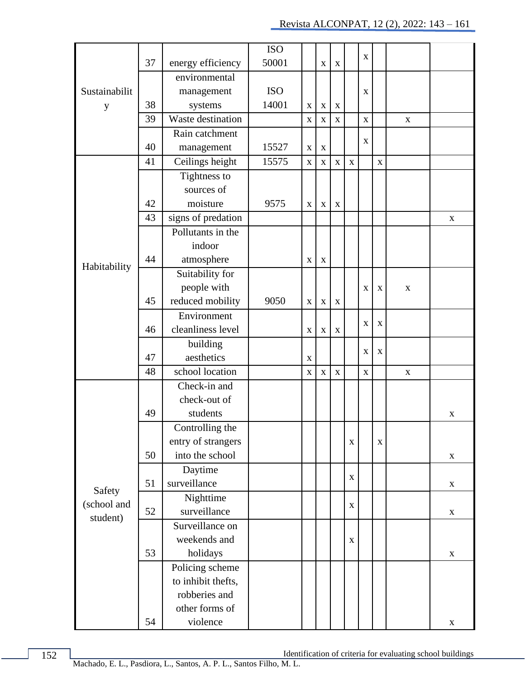|               |    |                     | <b>ISO</b> |             |             |             |             |             |             |             |             |
|---------------|----|---------------------|------------|-------------|-------------|-------------|-------------|-------------|-------------|-------------|-------------|
|               | 37 | energy efficiency   | 50001      |             | $\mathbf X$ | $\mathbf X$ |             | $\mathbf X$ |             |             |             |
|               |    | environmental       |            |             |             |             |             |             |             |             |             |
| Sustainabilit |    | management          | <b>ISO</b> |             |             |             |             | $\mathbf X$ |             |             |             |
| y             | 38 | systems             | 14001      | X           | X           | X           |             |             |             |             |             |
|               | 39 | Waste destination   |            | $\mathbf X$ | $\mathbf X$ | $\mathbf X$ |             | $\mathbf X$ |             | $\mathbf X$ |             |
|               |    | Rain catchment      |            |             |             |             |             |             |             |             |             |
|               | 40 | 15527<br>management |            | $\mathbf X$ | X           |             |             | $\mathbf X$ |             |             |             |
|               | 41 | Ceilings height     | 15575      | $\mathbf X$ | $\mathbf X$ | $\mathbf X$ | X           |             | $\mathbf X$ |             |             |
|               |    | Tightness to        |            |             |             |             |             |             |             |             |             |
|               |    | sources of          |            |             |             |             |             |             |             |             |             |
|               | 42 | moisture            | 9575       | $\mathbf X$ | $\mathbf X$ | $\mathbf X$ |             |             |             |             |             |
|               | 43 | signs of predation  |            |             |             |             |             |             |             |             | X           |
|               |    | Pollutants in the   |            |             |             |             |             |             |             |             |             |
|               |    | indoor              |            |             |             |             |             |             |             |             |             |
| Habitability  | 44 | atmosphere          |            | $\mathbf X$ | $\mathbf X$ |             |             |             |             |             |             |
|               |    | Suitability for     |            |             |             |             |             |             |             |             |             |
|               |    | people with         |            |             |             |             |             | X           | $\mathbf X$ | X           |             |
|               | 45 | reduced mobility    | 9050       | $\mathbf X$ | $\mathbf X$ | $\mathbf X$ |             |             |             |             |             |
|               |    | Environment         |            |             |             |             |             | $\mathbf X$ | X           |             |             |
|               | 46 | cleanliness level   |            | $\mathbf X$ | $\mathbf X$ | $\mathbf X$ |             |             |             |             |             |
|               |    | building            |            |             |             |             |             | X           | X           |             |             |
|               | 47 | aesthetics          |            | $\mathbf X$ |             |             |             |             |             |             |             |
|               | 48 | school location     |            | $\mathbf X$ | $\mathbf X$ | $\mathbf X$ |             | $\mathbf X$ |             | $\mathbf X$ |             |
|               |    | Check-in and        |            |             |             |             |             |             |             |             |             |
|               |    | check-out of        |            |             |             |             |             |             |             |             |             |
|               | 49 | students            |            |             |             |             |             |             |             |             | X           |
|               |    | Controlling the     |            |             |             |             |             |             |             |             |             |
|               |    | entry of strangers  |            |             |             |             | $\mathbf X$ |             | $\mathbf X$ |             |             |
|               | 50 | into the school     |            |             |             |             |             |             |             |             | $\mathbf X$ |
|               |    | Daytime             |            |             |             |             | $\mathbf X$ |             |             |             |             |
| Safety        | 51 | surveillance        |            |             |             |             |             |             |             |             | $\mathbf X$ |
| (school and   |    | Nighttime           |            |             |             |             | $\mathbf X$ |             |             |             |             |
| student)      | 52 | surveillance        |            |             |             |             |             |             |             |             | $\mathbf X$ |
|               |    | Surveillance on     |            |             |             |             |             |             |             |             |             |
|               |    | weekends and        |            |             |             |             | $\mathbf X$ |             |             |             |             |
|               | 53 | holidays            |            |             |             |             |             |             |             |             | $\mathbf X$ |
|               |    | Policing scheme     |            |             |             |             |             |             |             |             |             |
|               |    | to inhibit thefts,  |            |             |             |             |             |             |             |             |             |
|               |    | robberies and       |            |             |             |             |             |             |             |             |             |
|               |    | other forms of      |            |             |             |             |             |             |             |             |             |
|               | 54 | violence            |            |             |             |             |             |             |             |             | $\mathbf X$ |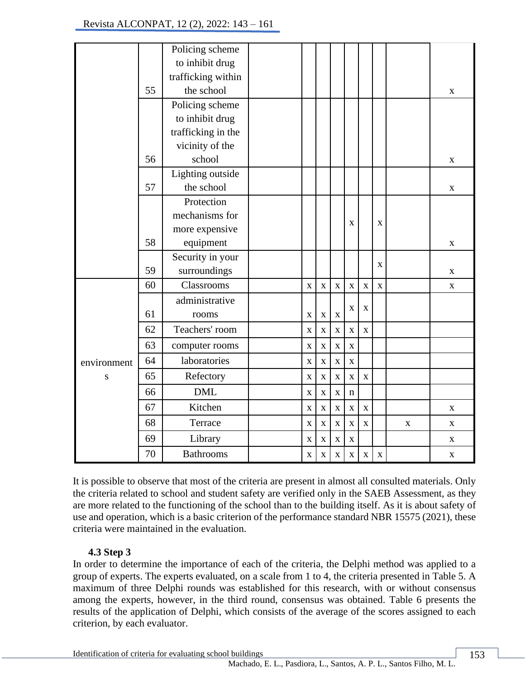|             |    | Policing scheme    |                         |                         |             |                    |             |             |   |             |
|-------------|----|--------------------|-------------------------|-------------------------|-------------|--------------------|-------------|-------------|---|-------------|
|             |    | to inhibit drug    |                         |                         |             |                    |             |             |   |             |
|             |    | trafficking within |                         |                         |             |                    |             |             |   |             |
|             | 55 | the school         |                         |                         |             |                    |             |             |   | X           |
|             |    | Policing scheme    |                         |                         |             |                    |             |             |   |             |
|             |    | to inhibit drug    |                         |                         |             |                    |             |             |   |             |
|             |    | trafficking in the |                         |                         |             |                    |             |             |   |             |
|             |    | vicinity of the    |                         |                         |             |                    |             |             |   |             |
|             | 56 | school             |                         |                         |             |                    |             |             |   | $\mathbf X$ |
|             |    | Lighting outside   |                         |                         |             |                    |             |             |   |             |
|             | 57 | the school         |                         |                         |             |                    |             |             |   | X           |
|             |    | Protection         |                         |                         |             |                    |             |             |   |             |
|             |    | mechanisms for     |                         |                         |             | X                  |             | $\mathbf X$ |   |             |
|             |    | more expensive     |                         |                         |             |                    |             |             |   |             |
|             | 58 | equipment          |                         |                         |             |                    |             |             |   | X           |
|             |    | Security in your   |                         |                         |             |                    |             | X           |   |             |
|             | 59 | surroundings       |                         |                         |             |                    |             |             |   | $\mathbf X$ |
|             | 60 | Classrooms         | $\mathbf X$             | $\mathbf X$             | $\mathbf X$ | $\mathbf X$        | $\mathbf X$ | $\mathbf X$ |   | $\mathbf X$ |
|             |    | administrative     |                         |                         |             |                    | X           |             |   |             |
|             | 61 | rooms              | $\mathbf X$             | $\overline{\mathbf{X}}$ | $\bar{X}$   | $\mathbf X$        |             |             |   |             |
|             | 62 | Teachers' room     | $\overline{\mathbf{X}}$ | $\bar{\mathbf{X}}$      | $\mathbf X$ | $\mathbf X$        | $\mathbf X$ |             |   |             |
|             | 63 | computer rooms     | $\mathbf X$             | $\mathbf X$             | $\bar{X}$   | $\mathbf X$        |             |             |   |             |
| environment | 64 | laboratories       | $\mathbf X$             | $\mathbf X$             | $\mathbf X$ | $\mathbf X$        |             |             |   |             |
| ${\bf S}$   | 65 | Refectory          | $\mathbf X$             | $\mathbf X$             | $\mathbf X$ | $\mathbf X$        | $\mathbf X$ |             |   |             |
|             | 66 | <b>DML</b>         | $\mathbf X$             | $\mathbf X$             | $\mathbf X$ | $\mathbf n$        |             |             |   |             |
|             | 67 | Kitchen            | $\mathbf X$             | $\mathbf X$             | $\mathbf X$ | $\mathbf X$        | $\mathbf X$ |             |   | X           |
|             | 68 | Terrace            | $\mathbf X$             | $\mathbf X$             | $\mathbf X$ | $\mathbf X$        | $\mathbf X$ |             | X | X           |
|             | 69 | Library            | X                       | $\mathbf X$             | $\mathbf X$ | $\mathbf X$        |             |             |   | X           |
|             | 70 | <b>Bathrooms</b>   | $\mathbf X$             | $\mathbf X$             | $\mathbf X$ | $\bar{\mathbf{X}}$ | $\mathbf X$ | $\mathbf X$ |   | X           |

It is possible to observe that most of the criteria are present in almost all consulted materials. Only the criteria related to school and student safety are verified only in the SAEB Assessment, as they are more related to the functioning of the school than to the building itself. As it is about safety of use and operation, which is a basic criterion of the performance standard NBR 15575 (2021), these criteria were maintained in the evaluation.

## **4.3 Step 3**

In order to determine the importance of each of the criteria, the Delphi method was applied to a group of experts. The experts evaluated, on a scale from 1 to 4, the criteria presented in Table 5. A maximum of three Delphi rounds was established for this research, with or without consensus among the experts, however, in the third round, consensus was obtained. Table 6 presents the results of the application of Delphi, which consists of the average of the scores assigned to each criterion, by each evaluator.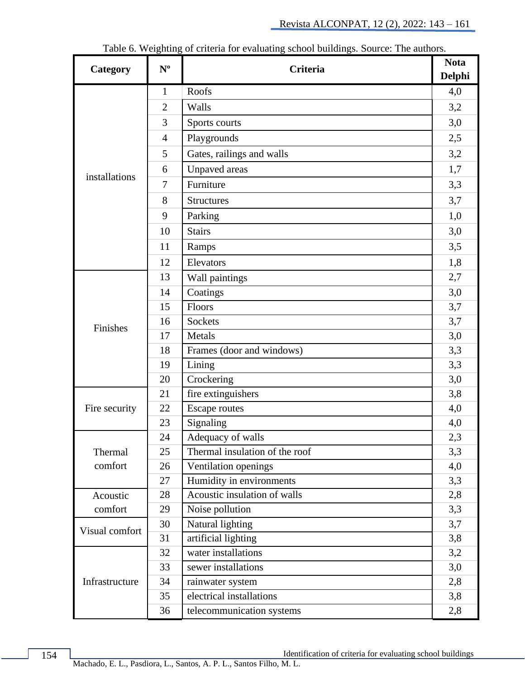|                |                | $\frac{1}{2}$                  |               |  |  |
|----------------|----------------|--------------------------------|---------------|--|--|
| Category       | $N^{\rm o}$    | <b>Criteria</b>                | <b>Delphi</b> |  |  |
|                | $\mathbf{1}$   | Roofs                          | 4,0           |  |  |
|                | $\overline{2}$ | Walls                          | 3,2           |  |  |
|                | 3              | Sports courts                  | 3,0           |  |  |
|                | $\overline{4}$ | Playgrounds                    | 2,5           |  |  |
|                | 5              | Gates, railings and walls      | 3,2           |  |  |
|                | 6              | Unpaved areas                  | 1,7           |  |  |
| installations  | $\overline{7}$ | Furniture                      | 3,3           |  |  |
|                | 8              | <b>Structures</b>              | 3,7           |  |  |
|                | 9              | Parking                        | 1,0           |  |  |
|                | 10             | <b>Stairs</b>                  | 3,0           |  |  |
|                | 11             | Ramps                          | 3,5           |  |  |
|                | 12             | Elevators                      | 1,8           |  |  |
|                | 13             | Wall paintings                 | 2,7           |  |  |
|                | 14             | Coatings                       | 3,0           |  |  |
|                | 15             | Floors                         | 3,7           |  |  |
|                | 16             | Sockets                        | 3,7           |  |  |
| Finishes       | 17             | Metals                         | 3,0           |  |  |
|                | 18             | Frames (door and windows)      | 3,3           |  |  |
|                | 19             | Lining                         | 3,3           |  |  |
|                | 20             | Crockering                     | 3,0           |  |  |
|                | 21             | fire extinguishers             | 3,8           |  |  |
| Fire security  | 22             | <b>Escape routes</b>           | 4,0           |  |  |
|                | 23             | Signaling                      | 4,0           |  |  |
|                | 24             | Adequacy of walls              | 2,3           |  |  |
| Thermal        | 25             | Thermal insulation of the roof | 3,3           |  |  |
| comfort        | 26             | Ventilation openings           | 4,0           |  |  |
|                | 27             | Humidity in environments       | 3,3           |  |  |
| Acoustic       | 28             | Acoustic insulation of walls   | 2,8           |  |  |
| comfort        | 29             | Noise pollution                | 3,3           |  |  |
| Visual comfort | 30             | Natural lighting               | 3,7           |  |  |
|                | 31             | artificial lighting            | 3,8           |  |  |
|                | 32             | water installations            | 3,2           |  |  |
|                | 33             | sewer installations            | 3,0           |  |  |
| Infrastructure | 34             | rainwater system               | 2,8           |  |  |
|                | 35             | electrical installations       | 3,8           |  |  |
|                | 36             | telecommunication systems      | 2,8           |  |  |

Table 6. Weighting of criteria for evaluating school buildings. Source: The authors.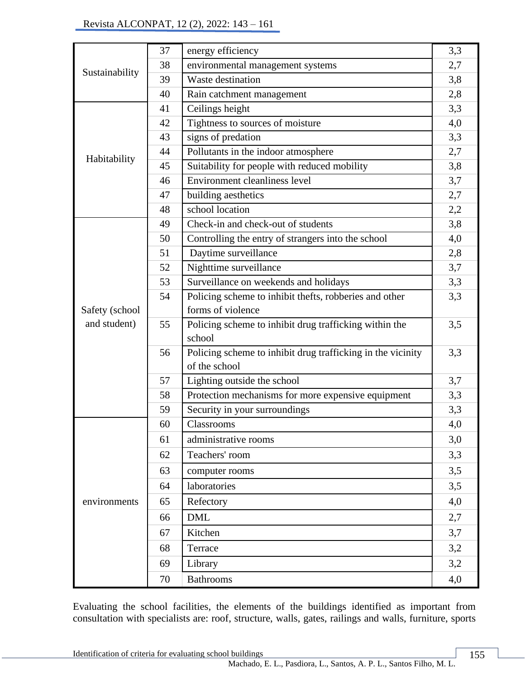|                | 37 | energy efficiency                                           | 3,3 |
|----------------|----|-------------------------------------------------------------|-----|
|                | 38 | environmental management systems                            | 2,7 |
| Sustainability | 39 | Waste destination                                           | 3,8 |
|                | 40 | Rain catchment management                                   | 2,8 |
|                | 41 | Ceilings height                                             | 3,3 |
|                | 42 | Tightness to sources of moisture                            | 4,0 |
|                | 43 | signs of predation                                          | 3,3 |
| Habitability   | 44 | Pollutants in the indoor atmosphere                         | 2,7 |
|                | 45 | Suitability for people with reduced mobility                | 3,8 |
|                | 46 | <b>Environment cleanliness level</b>                        | 3,7 |
|                | 47 | building aesthetics                                         | 2,7 |
|                | 48 | school location                                             | 2,2 |
|                | 49 | Check-in and check-out of students                          | 3,8 |
|                | 50 | Controlling the entry of strangers into the school          | 4,0 |
|                | 51 | Daytime surveillance                                        | 2,8 |
|                | 52 | Nighttime surveillance                                      | 3,7 |
|                | 53 | Surveillance on weekends and holidays                       | 3,3 |
|                | 54 | Policing scheme to inhibit thefts, robberies and other      | 3,3 |
| Safety (school |    | forms of violence                                           |     |
| and student)   | 55 | Policing scheme to inhibit drug trafficking within the      | 3,5 |
|                |    | school                                                      |     |
|                | 56 | Policing scheme to inhibit drug trafficking in the vicinity | 3,3 |
|                |    | of the school                                               |     |
|                | 57 | Lighting outside the school                                 | 3,7 |
|                | 58 | Protection mechanisms for more expensive equipment          | 3,3 |
|                | 59 | Security in your surroundings                               | 3,3 |
|                | 60 | Classrooms                                                  | 4,0 |
|                | 61 | administrative rooms                                        | 3,0 |
|                | 62 | Teachers' room                                              | 3,3 |
|                | 63 | computer rooms                                              | 3,5 |
|                | 64 | laboratories                                                | 3,5 |
| environments   | 65 | Refectory                                                   | 4,0 |
|                | 66 | <b>DML</b>                                                  | 2,7 |
|                | 67 | Kitchen                                                     | 3,7 |
|                | 68 | Terrace                                                     | 3,2 |
|                | 69 | Library                                                     | 3,2 |
|                | 70 | <b>Bathrooms</b>                                            | 4,0 |
|                |    |                                                             |     |

Evaluating the school facilities, the elements of the buildings identified as important from consultation with specialists are: roof, structure, walls, gates, railings and walls, furniture, sports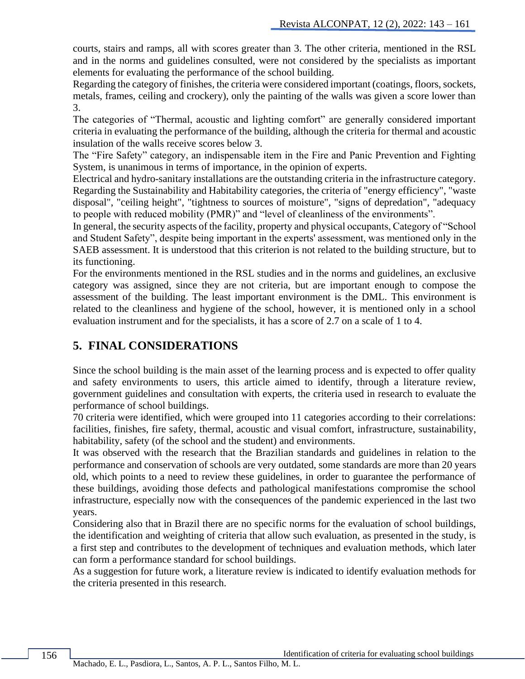courts, stairs and ramps, all with scores greater than 3. The other criteria, mentioned in the RSL and in the norms and guidelines consulted, were not considered by the specialists as important elements for evaluating the performance of the school building.

Regarding the category of finishes, the criteria were considered important (coatings, floors, sockets, metals, frames, ceiling and crockery), only the painting of the walls was given a score lower than 3.

The categories of "Thermal, acoustic and lighting comfort" are generally considered important criteria in evaluating the performance of the building, although the criteria for thermal and acoustic insulation of the walls receive scores below 3.

The "Fire Safety" category, an indispensable item in the Fire and Panic Prevention and Fighting System, is unanimous in terms of importance, in the opinion of experts.

Electrical and hydro-sanitary installations are the outstanding criteria in the infrastructure category. Regarding the Sustainability and Habitability categories, the criteria of "energy efficiency", "waste disposal", "ceiling height", "tightness to sources of moisture", "signs of depredation", "adequacy to people with reduced mobility (PMR)" and "level of cleanliness of the environments".

In general, the security aspects of the facility, property and physical occupants, Category of "School and Student Safety", despite being important in the experts' assessment, was mentioned only in the SAEB assessment. It is understood that this criterion is not related to the building structure, but to its functioning.

For the environments mentioned in the RSL studies and in the norms and guidelines, an exclusive category was assigned, since they are not criteria, but are important enough to compose the assessment of the building. The least important environment is the DML. This environment is related to the cleanliness and hygiene of the school, however, it is mentioned only in a school evaluation instrument and for the specialists, it has a score of 2.7 on a scale of 1 to 4.

## **5. FINAL CONSIDERATIONS**

Since the school building is the main asset of the learning process and is expected to offer quality and safety environments to users, this article aimed to identify, through a literature review, government guidelines and consultation with experts, the criteria used in research to evaluate the performance of school buildings.

70 criteria were identified, which were grouped into 11 categories according to their correlations: facilities, finishes, fire safety, thermal, acoustic and visual comfort, infrastructure, sustainability, habitability, safety (of the school and the student) and environments.

It was observed with the research that the Brazilian standards and guidelines in relation to the performance and conservation of schools are very outdated, some standards are more than 20 years old, which points to a need to review these guidelines, in order to guarantee the performance of these buildings, avoiding those defects and pathological manifestations compromise the school infrastructure, especially now with the consequences of the pandemic experienced in the last two years.

Considering also that in Brazil there are no specific norms for the evaluation of school buildings, the identification and weighting of criteria that allow such evaluation, as presented in the study, is a first step and contributes to the development of techniques and evaluation methods, which later can form a performance standard for school buildings.

As a suggestion for future work, a literature review is indicated to identify evaluation methods for the criteria presented in this research.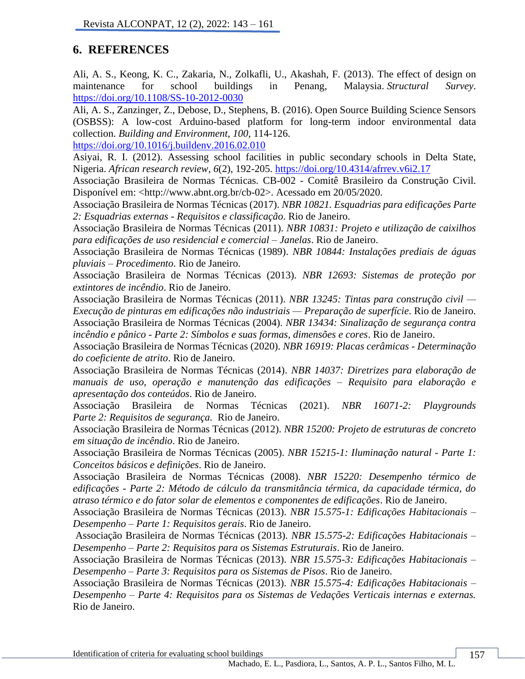# **6. REFERENCES**

Ali, A. S., Keong, K. C., Zakaria, N., Zolkafli, U., Akashah, F. (2013). The effect of design on maintenance for school buildings in Penang, Malaysia. *Structural Survey*. <https://doi.org/10.1108/SS-10-2012-0030>

Ali, A. S., Zanzinger, Z., Debose, D., Stephens, B. (2016). Open Source Building Science Sensors (OSBSS): A low-cost Arduino-based platform for long-term indoor environmental data collection. *Building and Environment*, *100*, 114-126.

<https://doi.org/10.1016/j.buildenv.2016.02.010>

Asiyai, R. I. (2012). Assessing school facilities in public secondary schools in Delta State, Nigeria. *African research review*, *6*(2), 192-205.<https://doi.org/10.4314/afrrev.v6i2.17>

Associação Brasileira de Normas Técnicas. CB-002 - Comitê Brasileiro da Construção Civil. Disponível em: <http://www.abnt.org.br/cb-02>. Acessado em 20/05/2020.

Associação Brasileira de Normas Técnicas (2017). *NBR 10821. Esquadrias para edificações Parte 2: Esquadrias externas - Requisitos e classificação*. Rio de Janeiro.

Associação Brasileira de Normas Técnicas (2011). *NBR 10831: Projeto e utilização de caixilhos para edificações de uso residencial e comercial – Janelas*. Rio de Janeiro.

Associação Brasileira de Normas Técnicas (1989). *NBR 10844: Instalações prediais de águas pluviais – Procedimento*. Rio de Janeiro.

Associação Brasileira de Normas Técnicas (2013). *NBR 12693: Sistemas de proteção por extintores de incêndio*. Rio de Janeiro.

Associação Brasileira de Normas Técnicas (2011). *NBR 13245: Tintas para construção civil — Execução de pinturas em edificações não industriais — Preparação de superfície*. Rio de Janeiro. Associação Brasileira de Normas Técnicas (2004). *NBR 13434: Sinalização de segurança contra incêndio e pânico - Parte 2: Símbolos e suas formas, dimensões e cores*. Rio de Janeiro.

Associação Brasileira de Normas Técnicas (2020). *NBR 16919: Placas cerâmicas - Determinação do coeficiente de atrito*. Rio de Janeiro.

Associação Brasileira de Normas Técnicas (2014). *NBR 14037: Diretrizes para elaboração de manuais de uso, operação e manutenção das edificações – Requisito para elaboração e apresentação dos conteúdos*. Rio de Janeiro.

Associação Brasileira de Normas Técnicas (2021). *NBR 16071-2: Playgrounds Parte 2: Requisitos de segurança.* Rio de Janeiro.

Associação Brasileira de Normas Técnicas (2012). *NBR 15200: Projeto de estruturas de concreto em situação de incêndio*. Rio de Janeiro.

Associação Brasileira de Normas Técnicas (2005). *NBR 15215-1: Iluminação natural - Parte 1: Conceitos básicos e definições*. Rio de Janeiro.

Associação Brasileira de Normas Técnicas (2008). *NBR 15220: Desempenho térmico de edificações - Parte 2: Método de cálculo da transmitância térmica, da capacidade térmica, do atraso térmico e do fator solar de elementos e componentes de edificações*. Rio de Janeiro.

Associação Brasileira de Normas Técnicas (2013). *NBR 15.575-1: Edificações Habitacionais – Desempenho – Parte 1: Requisitos gerais*. Rio de Janeiro.

Associação Brasileira de Normas Técnicas (2013). *NBR 15.575-2: Edificações Habitacionais – Desempenho – Parte 2: Requisitos para os Sistemas Estruturais*. Rio de Janeiro.

Associação Brasileira de Normas Técnicas (2013). *NBR 15.575-3: Edificações Habitacionais – Desempenho – Parte 3: Requisitos para os Sistemas de Pisos*. Rio de Janeiro.

Associação Brasileira de Normas Técnicas (2013). *NBR 15.575-4: Edificações Habitacionais – Desempenho – Parte 4: Requisitos para os Sistemas de Vedações Verticais internas e externas.* Rio de Janeiro.

Identification of criteria for evaluating school buildings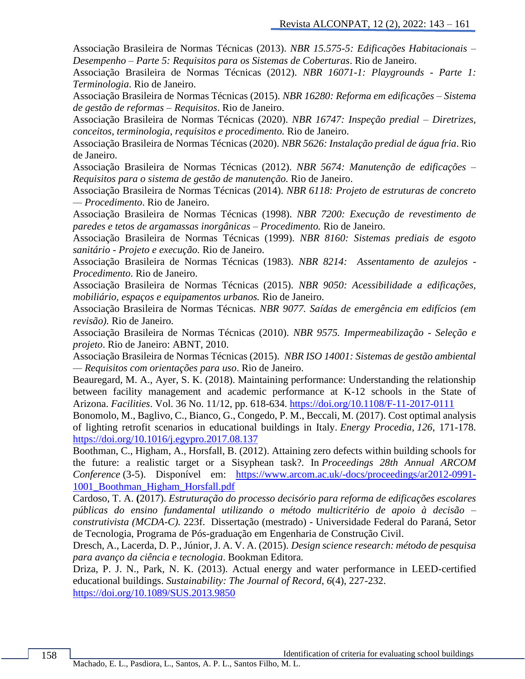Associação Brasileira de Normas Técnicas (2013). *NBR 15.575-5: Edificações Habitacionais – Desempenho – Parte 5: Requisitos para os Sistemas de Coberturas*. Rio de Janeiro.

Associação Brasileira de Normas Técnicas (2012). *NBR 16071-1: Playgrounds - Parte 1: Terminologia*. Rio de Janeiro.

Associação Brasileira de Normas Técnicas (2015). *NBR 16280: Reforma em edificações – Sistema de gestão de reformas – Requisitos*. Rio de Janeiro.

Associação Brasileira de Normas Técnicas (2020). *NBR 16747: Inspeção predial – Diretrizes, conceitos, terminologia, requisitos e procedimento.* Rio de Janeiro.

Associação Brasileira de Normas Técnicas (2020). *NBR 5626: Instalação predial de água fria*. Rio de Janeiro.

Associação Brasileira de Normas Técnicas (2012). *NBR 5674: Manutenção de edificações – Requisitos para o sistema de gestão de manutenção.* Rio de Janeiro.

Associação Brasileira de Normas Técnicas (2014). *NBR 6118: Projeto de estruturas de concreto — Procedimento*. Rio de Janeiro.

Associação Brasileira de Normas Técnicas (1998). *NBR 7200: Execução de revestimento de paredes e tetos de argamassas inorgânicas – Procedimento.* Rio de Janeiro.

Associação Brasileira de Normas Técnicas (1999). *NBR 8160: Sistemas prediais de esgoto sanitário - Projeto e execução.* Rio de Janeiro.

Associação Brasileira de Normas Técnicas (1983). *NBR 8214: Assentamento de azulejos - Procedimento*. Rio de Janeiro.

Associação Brasileira de Normas Técnicas (2015). *NBR 9050: Acessibilidade a edificações, mobiliário, espaços e equipamentos urbanos.* Rio de Janeiro.

Associação Brasileira de Normas Técnicas. *NBR 9077. Saídas de emergência em edifícios (em revisão).* Rio de Janeiro.

Associação Brasileira de Normas Técnicas (2010). *NBR 9575. Impermeabilização - Seleção e projeto*. Rio de Janeiro: ABNT, 2010.

Associação Brasileira de Normas Técnicas (2015). *NBR ISO 14001: Sistemas de gestão ambiental — Requisitos com orientações para uso*. Rio de Janeiro.

Beauregard, M. A., Ayer, S. K. (2018). Maintaining performance: Understanding the relationship between facility management and academic performance at K-12 schools in the State of Arizona. *Facilities*. Vol. 36 No. 11/12, pp. 618-634.<https://doi.org/10.1108/F-11-2017-0111>

Bonomolo, M., Baglivo, C., Bianco, G., Congedo, P. M., Beccali, M. (2017). Cost optimal analysis of lighting retrofit scenarios in educational buildings in Italy. *Energy Procedia*, *126*, 171-178. <https://doi.org/10.1016/j.egypro.2017.08.137>

Boothman, C., Higham, A., Horsfall, B. (2012). Attaining zero defects within building schools for the future: a realistic target or a Sisyphean task?. In *Proceedings 28th Annual ARCOM Conference* (3-5). Disponível em: [https://www.arcom.ac.uk/-docs/proceedings/ar2012-0991-](https://www.arcom.ac.uk/-docs/proceedings/ar2012-0991-1001_Boothman_Higham_Horsfall.pdf) [1001\\_Boothman\\_Higham\\_Horsfall.pdf](https://www.arcom.ac.uk/-docs/proceedings/ar2012-0991-1001_Boothman_Higham_Horsfall.pdf)

Cardoso, T. A. **(**2017). *Estruturação do processo decisório para reforma de edificações escolares públicas do ensino fundamental utilizando o método multicritério de apoio à decisão – construtivista (MCDA-C).* 223f. Dissertação (mestrado) - Universidade Federal do Paraná, Setor de Tecnologia, Programa de Pós-graduação em Engenharia de Construção Civil.

Dresch, A., Lacerda, D. P., Júnior, J. A. V. A. (2015). *Design science research: método de pesquisa para avanço da ciência e tecnologia*. Bookman Editora.

Driza, P. J. N., Park, N. K. (2013). Actual energy and water performance in LEED-certified educational buildings. *Sustainability: The Journal of Record*, *6*(4), 227-232. <https://doi.org/10.1089/SUS.2013.9850>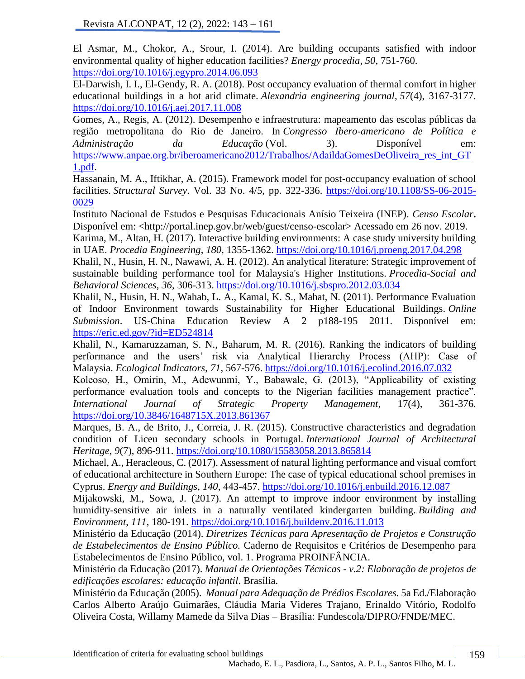El Asmar, M., Chokor, A., Srour, I. (2014). Are building occupants satisfied with indoor environmental quality of higher education facilities? *Energy procedia*, *50*, 751-760. <https://doi.org/10.1016/j.egypro.2014.06.093>

El-Darwish, I. I., El-Gendy, R. A. (2018). Post occupancy evaluation of thermal comfort in higher educational buildings in a hot arid climate. *Alexandria engineering journal*, *57*(4), 3167-3177. <https://doi.org/10.1016/j.aej.2017.11.008>

Gomes, A., Regis, A. (2012). Desempenho e infraestrutura: mapeamento das escolas públicas da região metropolitana do Rio de Janeiro. In *Congresso Ibero-americano de Política e Administração da Educação* (Vol. 3). Disponível em: [https://www.anpae.org.br/iberoamericano2012/Trabalhos/AdaildaGomesDeOliveira\\_res\\_int\\_GT](https://www.anpae.org.br/iberoamericano2012/Trabalhos/AdaildaGomesDeOliveira_res_int_GT1.pdf) [1.pdf.](https://www.anpae.org.br/iberoamericano2012/Trabalhos/AdaildaGomesDeOliveira_res_int_GT1.pdf)

Hassanain, M. A., Iftikhar, A. (2015). Framework model for post-occupancy evaluation of school facilities. *Structural Survey*. Vol. 33 No. 4/5, pp. 322-336. [https://doi.org/10.1108/SS-06-2015-](https://doi.org/10.1108/SS-06-2015-0029) [0029](https://doi.org/10.1108/SS-06-2015-0029)

Instituto Nacional de Estudos e Pesquisas Educacionais Anísio Teixeira (INEP). *Censo Escolar***.** Disponível em: <http://portal.inep.gov.br/web/guest/censo-escolar> Acessado em 26 nov. 2019.

Karima, M., Altan, H. (2017). Interactive building environments: A case study university building in UAE. *Procedia Engineering*, *180*, 1355-1362.<https://doi.org/10.1016/j.proeng.2017.04.298>

Khalil, N., Husin, H. N., Nawawi, A. H. (2012). An analytical literature: Strategic improvement of sustainable building performance tool for Malaysia's Higher Institutions. *Procedia-Social and Behavioral Sciences*, *36*, 306-313.<https://doi.org/10.1016/j.sbspro.2012.03.034>

Khalil, N., Husin, H. N., Wahab, L. A., Kamal, K. S., Mahat, N. (2011). Performance Evaluation of Indoor Environment towards Sustainability for Higher Educational Buildings. *Online Submission*. US-China Education Review A 2 p188-195 2011. Disponível em: <https://eric.ed.gov/?id=ED524814>

Khalil, N., Kamaruzzaman, S. N., Baharum, M. R. (2016). Ranking the indicators of building performance and the users' risk via Analytical Hierarchy Process (AHP): Case of Malaysia. *Ecological Indicators*, *71*, 567-576.<https://doi.org/10.1016/j.ecolind.2016.07.032>

Koleoso, H., Omirin, M., Adewunmi, Y., Babawale, G. (2013), "Applicability of existing performance evaluation tools and concepts to the Nigerian facilities management practice". *International Journal of Strategic Property Management*, 17(4), 361-376. <https://doi.org/10.3846/1648715X.2013.861367>

Marques, B. A., de Brito, J., Correia, J. R. (2015). Constructive characteristics and degradation condition of Liceu secondary schools in Portugal. *International Journal of Architectural Heritage*, *9*(7), 896-911.<https://doi.org/10.1080/15583058.2013.865814>

Michael, A., Heracleous, C. (2017). Assessment of natural lighting performance and visual comfort of educational architecture in Southern Europe: The case of typical educational school premises in Cyprus. *Energy and Buildings*, *140*, 443-457.<https://doi.org/10.1016/j.enbuild.2016.12.087>

Mijakowski, M., Sowa, J. (2017). An attempt to improve indoor environment by installing humidity-sensitive air inlets in a naturally ventilated kindergarten building. *Building and Environment*, *111*, 180-191.<https://doi.org/10.1016/j.buildenv.2016.11.013>

Ministério da Educação (2014). *Diretrizes Técnicas para Apresentação de Projetos e Construção de Estabelecimentos de Ensino Público.* Caderno de Requisitos e Critérios de Desempenho para Estabelecimentos de Ensino Público, vol. 1. Programa PROINFÂNCIA.

Ministério da Educação (2017). *Manual de Orientações Técnicas - v.2: Elaboração de projetos de edificações escolares: educação infantil*. Brasília.

Ministério da Educação (2005). *Manual para Adequação de Prédios Escolares.* 5a Ed./Elaboração Carlos Alberto Araújo Guimarães, Cláudia Maria Videres Trajano, Erinaldo Vitório, Rodolfo Oliveira Costa, Willamy Mamede da Silva Dias – Brasília: Fundescola/DIPRO/FNDE/MEC.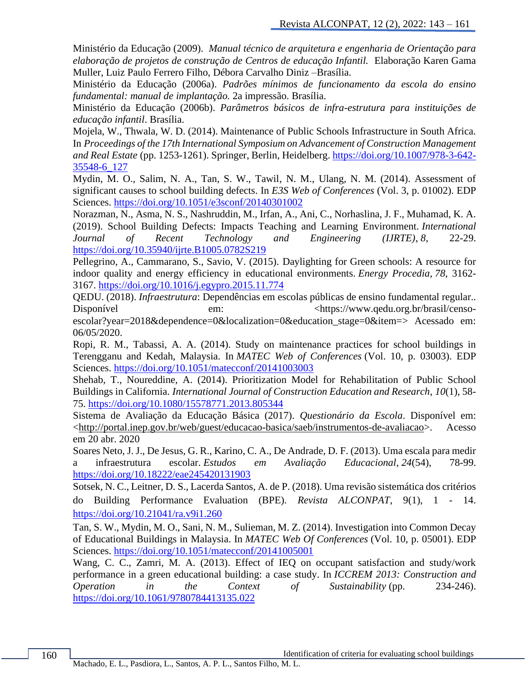Ministério da Educação (2009). *Manual técnico de arquitetura e engenharia de Orientação para elaboração de projetos de construção de Centros de educação Infantil.* Elaboração Karen Gama Muller, Luiz Paulo Ferrero Filho, Débora Carvalho Diniz –Brasília.

Ministério da Educação (2006a). *Padrões mínimos de funcionamento da escola do ensino fundamental: manual de implantação.* 2a impressão. Brasília.

Ministério da Educação (2006b). *Parâmetros básicos de infra-estrutura para instituições de educação infantil*. Brasília.

Mojela, W., Thwala, W. D. (2014). Maintenance of Public Schools Infrastructure in South Africa. In *Proceedings of the 17th International Symposium on Advancement of Construction Management and Real Estate* (pp. 1253-1261). Springer, Berlin, Heidelberg. [https://doi.org/10.1007/978-3-642-](https://doi.org/10.1007/978-3-642-35548-6_127) [35548-6\\_127](https://doi.org/10.1007/978-3-642-35548-6_127)

Mydin, M. O., Salim, N. A., Tan, S. W., Tawil, N. M., Ulang, N. M. (2014). Assessment of significant causes to school building defects. In *E3S Web of Conferences* (Vol. 3, p. 01002). EDP Sciences.<https://doi.org/10.1051/e3sconf/20140301002>

Norazman, N., Asma, N. S., Nashruddin, M., Irfan, A., Ani, C., Norhaslina, J. F., Muhamad, K. A. (2019). School Building Defects: Impacts Teaching and Learning Environment. *International Journal of Recent Technology and Engineering (IJRTE)*, *8*, 22-29. <https://doi.org/10.35940/ijrte.B1005.0782S219>

Pellegrino, A., Cammarano, S., Savio, V. (2015). Daylighting for Green schools: A resource for indoor quality and energy efficiency in educational environments. *Energy Procedia*, *78*, 3162- 3167.<https://doi.org/10.1016/j.egypro.2015.11.774>

QEDU. (2018). *Infraestrutura*: Dependências em escolas públicas de ensino fundamental regular.. Disponível em:  $\epsilon$  em:  $\epsilon$  https://www.qedu.org.br/brasil/censoescolar?year=2018&dependence=0&localization=0&education\_stage=0&item=> Acessado em:

06/05/2020.

Ropi, R. M., Tabassi, A. A. (2014). Study on maintenance practices for school buildings in Terengganu and Kedah, Malaysia. In *MATEC Web of Conferences* (Vol. 10, p. 03003). EDP Sciences.<https://doi.org/10.1051/matecconf/20141003003>

Shehab, T., Noureddine, A. (2014). Prioritization Model for Rehabilitation of Public School Buildings in California. *International Journal of Construction Education and Research*, *10*(1), 58- 75.<https://doi.org/10.1080/15578771.2013.805344>

Sistema de Avaliação da Educação Básica (2017). *Questionário da Escola*. Disponível em: [<http://portal.inep.gov.br/web/guest/educacao-basica/saeb/instrumentos-de-avaliacao>](http://portal.inep.gov.br/web/guest/educacao-basica/saeb/instrumentos-de-avaliacao). Acesso em 20 abr. 2020

Soares Neto, J. J., De Jesus, G. R., Karino, C. A., De Andrade, D. F. (2013). Uma escala para medir a infraestrutura escolar. *Estudos em Avaliação Educacional*, *24*(54), 78-99. <https://doi.org/10.18222/eae245420131903>

Sotsek, N. C., Leitner, D. S., Lacerda Santos, A. de P. (2018). Uma revisão sistemática dos critérios do Building Performance Evaluation (BPE). *Revista ALCONPAT*, 9(1), 1 - 14. <https://doi.org/10.21041/ra.v9i1.260>

Tan, S. W., Mydin, M. O., Sani, N. M., Sulieman, M. Z. (2014). Investigation into Common Decay of Educational Buildings in Malaysia. In *MATEC Web Of Conferences* (Vol. 10, p. 05001). EDP Sciences.<https://doi.org/10.1051/matecconf/20141005001>

Wang, C. C., Zamri, M. A. (2013). Effect of IEQ on occupant satisfaction and study/work performance in a green educational building: a case study. In *ICCREM 2013: Construction and Operation in the Context of Sustainability* (pp. 234-246). <https://doi.org/10.1061/9780784413135.022>